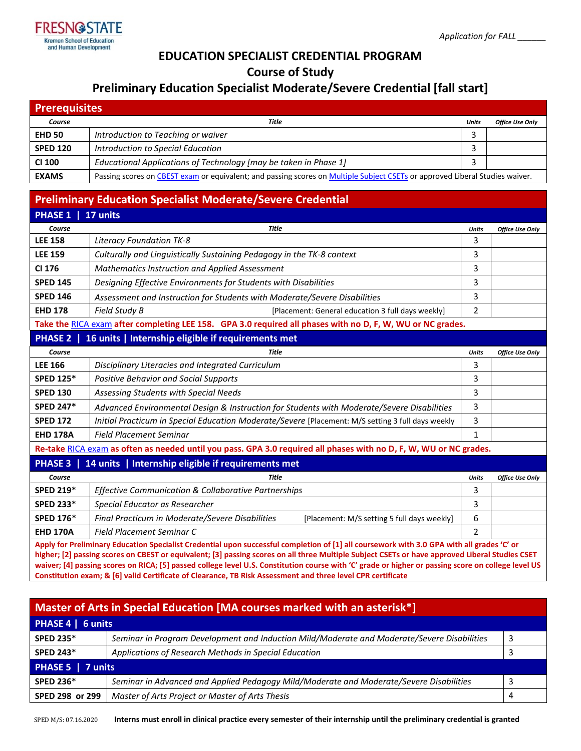

## **EDUCATION SPECIALIST CREDENTIAL PROGRAM**

**Course of Study**

# **Preliminary Education Specialist Moderate/Severe Credential [fall start]**

| <b>Prerequisites</b> |                                                                                                                              |       |                        |  |  |  |
|----------------------|------------------------------------------------------------------------------------------------------------------------------|-------|------------------------|--|--|--|
| Course               | Title                                                                                                                        | Units | <b>Office Use Only</b> |  |  |  |
| <b>EHD 50</b>        | Introduction to Teaching or waiver                                                                                           |       |                        |  |  |  |
| <b>SPED 120</b>      | Introduction to Special Education                                                                                            |       |                        |  |  |  |
| <b>CI 100</b>        | Educational Applications of Technology [may be taken in Phase 1]                                                             |       |                        |  |  |  |
| <b>EXAMS</b>         | Passing scores on CBEST exam or equivalent; and passing scores on Multiple Subject CSETs or approved Liberal Studies waiver. |       |                        |  |  |  |

#### **Preliminary Education Specialist Moderate/Severe Credential PHASE 1 | 17 units**

| <b>PHASE 1 17 UIIIIS</b>                                                                                                                                                                                                                                                                               |                                                                                                   |                |                        |  |  |
|--------------------------------------------------------------------------------------------------------------------------------------------------------------------------------------------------------------------------------------------------------------------------------------------------------|---------------------------------------------------------------------------------------------------|----------------|------------------------|--|--|
| Course                                                                                                                                                                                                                                                                                                 | <b>Title</b>                                                                                      | Units          | <b>Office Use Only</b> |  |  |
| <b>LEE 158</b>                                                                                                                                                                                                                                                                                         | <b>Literacy Foundation TK-8</b>                                                                   | 3              |                        |  |  |
| <b>LEE 159</b>                                                                                                                                                                                                                                                                                         | Culturally and Linguistically Sustaining Pedagogy in the TK-8 context                             | 3              |                        |  |  |
| CI 176                                                                                                                                                                                                                                                                                                 | Mathematics Instruction and Applied Assessment                                                    | 3              |                        |  |  |
| <b>SPED 145</b>                                                                                                                                                                                                                                                                                        | Designing Effective Environments for Students with Disabilities                                   | 3              |                        |  |  |
| <b>SPED 146</b>                                                                                                                                                                                                                                                                                        | Assessment and Instruction for Students with Moderate/Severe Disabilities                         | 3              |                        |  |  |
| <b>EHD 178</b>                                                                                                                                                                                                                                                                                         | Field Study B<br>[Placement: General education 3 full days weekly]                                | $\overline{2}$ |                        |  |  |
| Take the RICA exam after completing LEE 158. GPA 3.0 required all phases with no D, F, W, WU or NC grades.                                                                                                                                                                                             |                                                                                                   |                |                        |  |  |
|                                                                                                                                                                                                                                                                                                        | PHASE 2   16 units   Internship eligible if requirements met                                      |                |                        |  |  |
| Course                                                                                                                                                                                                                                                                                                 | <b>Title</b>                                                                                      | <b>Units</b>   | <b>Office Use Only</b> |  |  |
| <b>LEE 166</b>                                                                                                                                                                                                                                                                                         | Disciplinary Literacies and Integrated Curriculum                                                 | 3              |                        |  |  |
| <b>SPED 125*</b>                                                                                                                                                                                                                                                                                       | <b>Positive Behavior and Social Supports</b>                                                      | 3              |                        |  |  |
| <b>SPED 130</b>                                                                                                                                                                                                                                                                                        | Assessing Students with Special Needs                                                             | 3              |                        |  |  |
| <b>SPED 247*</b>                                                                                                                                                                                                                                                                                       | Advanced Environmental Design & Instruction for Students with Moderate/Severe Disabilities        | 3              |                        |  |  |
| <b>SPED 172</b>                                                                                                                                                                                                                                                                                        | Initial Practicum in Special Education Moderate/Severe [Placement: M/S setting 3 full days weekly | 3              |                        |  |  |
| <b>EHD 178A</b>                                                                                                                                                                                                                                                                                        | <b>Field Placement Seminar</b>                                                                    | $\mathbf{1}$   |                        |  |  |
| Re-take RICA exam as often as needed until you pass. GPA 3.0 required all phases with no D, F, W, WU or NC grades.                                                                                                                                                                                     |                                                                                                   |                |                        |  |  |
| 14 units   Internship eligible if requirements met<br><b>PHASE 3</b>                                                                                                                                                                                                                                   |                                                                                                   |                |                        |  |  |
| Course                                                                                                                                                                                                                                                                                                 | <b>Title</b>                                                                                      | <b>Units</b>   | <b>Office Use Only</b> |  |  |
| <b>SPED 219*</b>                                                                                                                                                                                                                                                                                       | Effective Communication & Collaborative Partnerships                                              | 3              |                        |  |  |
| <b>SPED 233*</b>                                                                                                                                                                                                                                                                                       | Special Educator as Researcher                                                                    | 3              |                        |  |  |
| <b>SPED 176*</b>                                                                                                                                                                                                                                                                                       | Final Practicum in Moderate/Severe Disabilities<br>[Placement: M/S setting 5 full days weekly]    | 6              |                        |  |  |
| <b>EHD 170A</b>                                                                                                                                                                                                                                                                                        | Field Placement Seminar C                                                                         | $\mathcal{P}$  |                        |  |  |
| Apply for Preliminary Education Specialist Credential upon successful completion of [1] all coursework with 3.0 GPA with all grades 'C' or                                                                                                                                                             |                                                                                                   |                |                        |  |  |
| higher; [2] passing scores on CBEST or equivalent; [3] passing scores on all three Multiple Subject CSETs or have approved Liberal Studies CSET<br>waiver; [4] passing scores on RICA; [5] passed college level U.S. Constitution course with 'C' grade or higher or passing score on college level US |                                                                                                   |                |                        |  |  |
|                                                                                                                                                                                                                                                                                                        |                                                                                                   |                |                        |  |  |

**Constitution exam; & [6] valid Certificate of Clearance, TB Risk Assessment and three level CPR certificate**

| Master of Arts in Special Education [MA courses marked with an asterisk*] |                                                                                             |   |  |  |  |
|---------------------------------------------------------------------------|---------------------------------------------------------------------------------------------|---|--|--|--|
| PHASE 4   6 units                                                         |                                                                                             |   |  |  |  |
| <b>SPED 235*</b>                                                          | Seminar in Program Development and Induction Mild/Moderate and Moderate/Severe Disabilities | 3 |  |  |  |
| <b>SPED 243*</b>                                                          | Applications of Research Methods in Special Education                                       |   |  |  |  |
| PHASE 5 7 units                                                           |                                                                                             |   |  |  |  |
| <b>SPED 236*</b>                                                          | Seminar in Advanced and Applied Pedagogy Mild/Moderate and Moderate/Severe Disabilities     |   |  |  |  |
| SPED 298 or 299                                                           | Master of Arts Project or Master of Arts Thesis                                             | 4 |  |  |  |